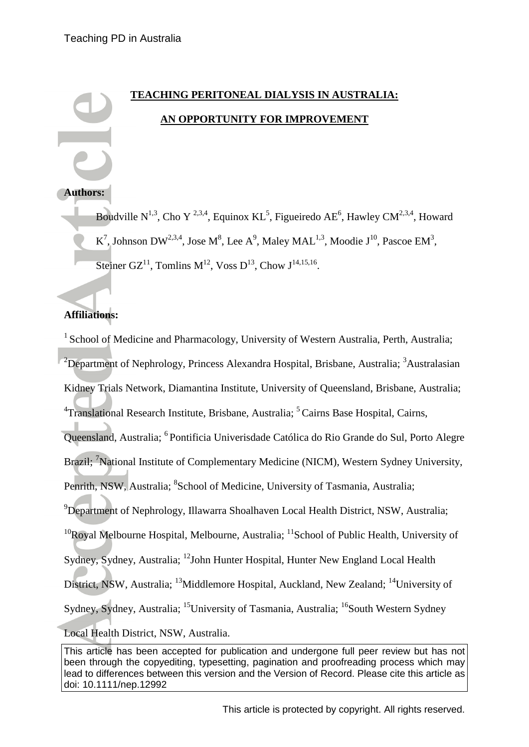# **TEACHING PERITONEAL DIALYSIS IN AUSTRALIA: AN OPPORTUNITY FOR IMPROVEMENT**

### **Authors:**

Boudville N<sup>1,3</sup>, Cho Y<sup>2,3,4</sup>, Equinox KL<sup>5</sup>, Figueiredo AE<sup>6</sup>, Hawley CM<sup>2,3,4</sup>, Howard K<sup>7</sup>, Johnson DW<sup>2,3,4</sup>, Jose M<sup>8</sup>, Lee A<sup>9</sup>, Maley MAL<sup>1,3</sup>, Moodie J<sup>10</sup>, Pascoe EM<sup>3</sup>, Steiner GZ<sup>11</sup>, Tomlins M<sup>12</sup>, Voss D<sup>13</sup>, Chow J<sup>14,15,16</sup>.

# **Affiliations:**

<sup>1</sup> School of Medicine and Pharmacology, University of Western Australia, Perth, Australia; <sup>2</sup>Department of Nephrology, Princess Alexandra Hospital, Brisbane, Australia; <sup>3</sup>Australasian Kidney Trials Network, Diamantina Institute, University of Queensland, Brisbane, Australia; <sup>4</sup>Translational Research Institute, Brisbane, Australia; <sup>5</sup> Cairns Base Hospital, Cairns, Queensland, Australia; <sup>6</sup> Pontificia Univerisdade Católica do Rio Grande do Sul, Porto Alegre Brazil; <sup>7</sup>National Institute of Complementary Medicine (NICM), Western Sydney University, Penrith, NSW, Australia; <sup>8</sup>School of Medicine, University of Tasmania, Australia; <sup>9</sup>Department of Nephrology, Illawarra Shoalhaven Local Health District, NSW, Australia;  $10R$ oyal Melbourne Hospital, Melbourne, Australia;  $11S$ chool of Public Health, University of Sydney, Sydney, Australia; <sup>12</sup>John Hunter Hospital, Hunter New England Local Health District, NSW, Australia; <sup>13</sup>Middlemore Hospital, Auckland, New Zealand; <sup>14</sup>University of Sydney, Sydney, Australia; <sup>15</sup>University of Tasmania, Australia; <sup>16</sup>South Western Sydney Local Health District, NSW, Australia.

This article has been accepted for publication and undergone full peer review but has not been through the copyediting, typesetting, pagination and proofreading process which may lead to differences between this version and the Version of Record. Please cite this article as doi: 10.1111/nep.12992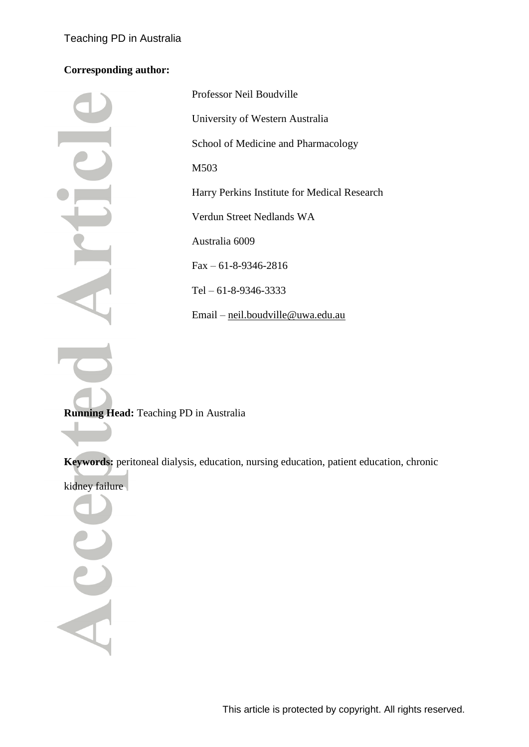# **Corresponding author:**

| Professor Neil Boudville                     |
|----------------------------------------------|
| University of Western Australia              |
| School of Medicine and Pharmacology          |
| M503                                         |
| Harry Perkins Institute for Medical Research |
| Verdun Street Nedlands WA                    |
| Australia 6009                               |
| $Fax - 61 - 8 - 9346 - 2816$                 |
| Tel $-61-8-9346-3333$                        |
| Email – neil.boudville@uwa.edu.au            |

**Running Head:** Teaching PD in Australia

**Keywords:** peritoneal dialysis, education, nursing education, patient education, chronic

kidney failure

Acc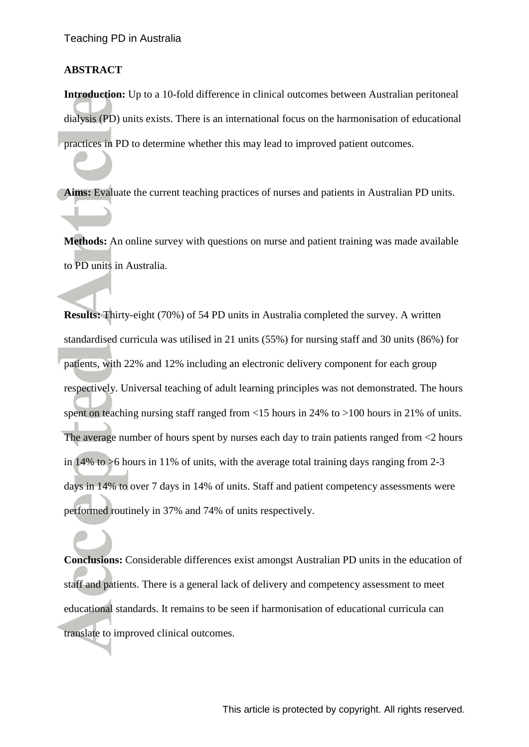#### **ABSTRACT**

**Introduction:** Up to a 10-fold difference in clinical outcomes between Australian peritoneal dialysis (PD) units exists. There is an international focus on the harmonisation of educational practices in PD to determine whether this may lead to improved patient outcomes.

**Aims:** Evaluate the current teaching practices of nurses and patients in Australian PD units.

**Methods:** An online survey with questions on nurse and patient training was made available to PD units in Australia.

**Results:** Thirty-eight (70%) of 54 PD units in Australia completed the survey. A written standardised curricula was utilised in 21 units (55%) for nursing staff and 30 units (86%) for patients, with 22% and 12% including an electronic delivery component for each group respectively. Universal teaching of adult learning principles was not demonstrated. The hours spent on teaching nursing staff ranged from <15 hours in 24% to >100 hours in 21% of units. The average number of hours spent by nurses each day to train patients ranged from <2 hours in 14% to >6 hours in 11% of units, with the average total training days ranging from 2-3 days in 14% to over 7 days in 14% of units. Staff and patient competency assessments were performed routinely in 37% and 74% of units respectively.

**Conclusions:** Considerable differences exist amongst Australian PD units in the education of staff and patients. There is a general lack of delivery and competency assessment to meet educational standards. It remains to be seen if harmonisation of educational curricula can translate to improved clinical outcomes.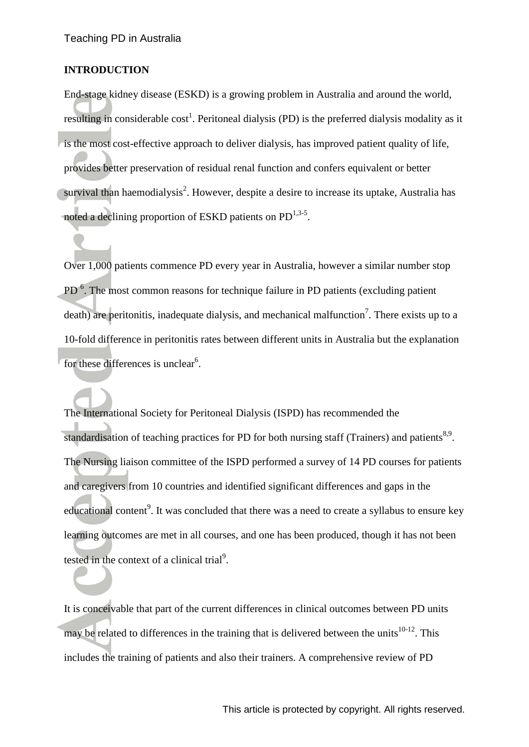#### **INTRODUCTION**

End-stage kidney disease (ESKD) is a growing problem in Australia and around the world, resulting in considerable cost<sup>1</sup>[.](#page-12-0) Peritoneal dialysis (PD) is the preferred dialysis modality as it is the most cost-effective approach to deliver dialysis, has improved patient quality of life, provides better preservation of residual renal function and confers equivalent or better survival than haemodialysis<sup>[2](#page-12-1)</sup>. However, despite a desire to increase its uptake, Australia has noted a declining proportion of ESKD patients on PD<sup>[1,](#page-12-0)[3-5](#page-12-2)</sup>.

Over 1,000 patients commence PD every year in Australia, however a similar number stop PD<sup>6</sup>[.](#page-12-3) The most common reasons for technique failure in PD patients (excluding patient death) are peritonitis, inadequate dialysis, and mechanical malfunction<sup>[7](#page-12-4)</sup>. There exists up to a 10-fold difference in peritonitis rates between different units in Australia but the explanation for these differences is unclear<sup>6</sup>[.](#page-12-3)

The International Society for Peritoneal Dialysis (ISPD) has recommended the standardisation of teaching practices for PD for both nursing staff (Trainers) and patients<sup>[8,](#page-12-5)[9](#page-13-0)</sup>. The Nursing liaison committee of the ISPD performed a survey of 14 PD courses for patients and caregivers from 10 countries and identified significant differences and gaps in the educa[t](#page-13-0)ional content<sup>9</sup>. It was concluded that there was a need to create a syllabus to ensure key learning outcomes are met in all courses, and one has been produced, though it has not been tested in the context of a clinical trial<sup>9</sup>[.](#page-13-0)

It is conceivable that part of the current differences in clinical outcomes between PD units may be related to differences in the training that is delivered between the units<sup>[10-12](#page-13-1)</sup>. This includes the training of patients and also their trainers. A comprehensive review of PD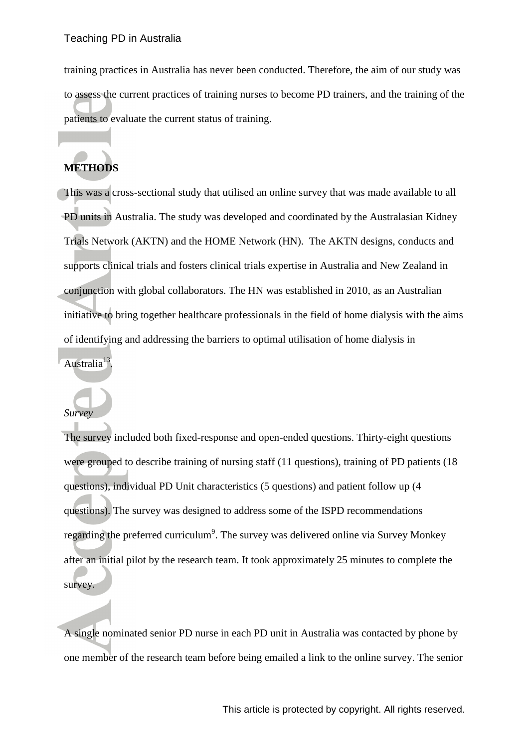training practices in Australia has never been conducted. Therefore, the aim of our study was to assess the current practices of training nurses to become PD trainers, and the training of the patients to evaluate the current status of training.

# **METHODS**

This was a cross-sectional study that utilised an online survey that was made available to all PD units in Australia. The study was developed and coordinated by the Australasian Kidney Trials Network (AKTN) and the HOME Network (HN). The AKTN designs, conducts and supports clinical trials and fosters clinical trials expertise in Australia and New Zealand in conjunction with global collaborators. The HN was established in 2010, as an Australian initiative to bring together healthcare professionals in the field of home dialysis with the aims of identifying and addressing the barriers to optimal utilisation of home dialysis in

Australia<sup>[13](#page-13-2)</sup>.

# *Survey*

The survey included both fixed-response and open-ended questions. Thirty-eight questions were grouped to describe training of nursing staff (11 questions), training of PD patients (18 questions), individual PD Unit characteristics (5 questions) and patient follow up (4 questions). The survey was designed to address some of the ISPD recommendations regarding the preferred curriculum<sup>[9](#page-13-0)</sup>. The survey was delivered online via Survey Monkey after an initial pilot by the research team. It took approximately 25 minutes to complete the survey.

A single nominated senior PD nurse in each PD unit in Australia was contacted by phone by one member of the research team before being emailed a link to the online survey. The senior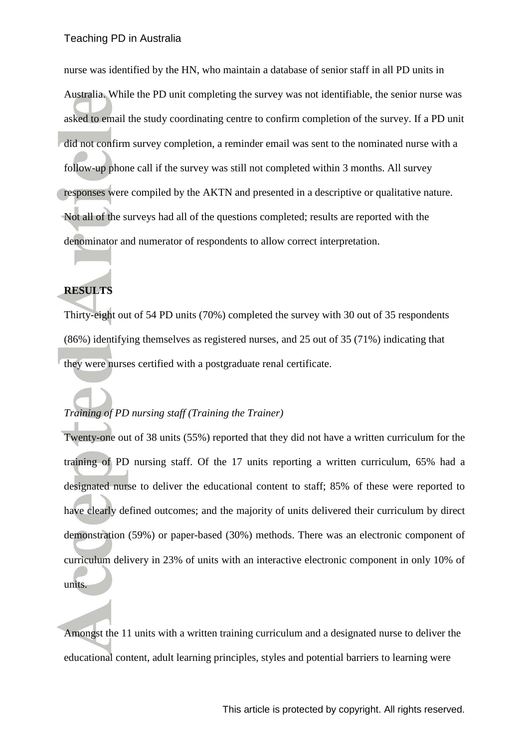nurse was identified by the HN, who maintain a database of senior staff in all PD units in Australia. While the PD unit completing the survey was not identifiable, the senior nurse was asked to email the study coordinating centre to confirm completion of the survey. If a PD unit did not confirm survey completion, a reminder email was sent to the nominated nurse with a follow-up phone call if the survey was still not completed within 3 months. All survey responses were compiled by the AKTN and presented in a descriptive or qualitative nature. Not all of the surveys had all of the questions completed; results are reported with the denominator and numerator of respondents to allow correct interpretation.

#### **RESULTS**

Thirty-eight out of 54 PD units (70%) completed the survey with 30 out of 35 respondents (86%) identifying themselves as registered nurses, and 25 out of 35 (71%) indicating that they were nurses certified with a postgraduate renal certificate.

### *Training of PD nursing staff (Training the Trainer)*

Twenty-one out of 38 units (55%) reported that they did not have a written curriculum for the training of PD nursing staff. Of the 17 units reporting a written curriculum, 65% had a designated nurse to deliver the educational content to staff; 85% of these were reported to have clearly defined outcomes; and the majority of units delivered their curriculum by direct demonstration (59%) or paper-based (30%) methods. There was an electronic component of curriculum delivery in 23% of units with an interactive electronic component in only 10% of units.

Amongst the 11 units with a written training curriculum and a designated nurse to deliver the educational content, adult learning principles, styles and potential barriers to learning were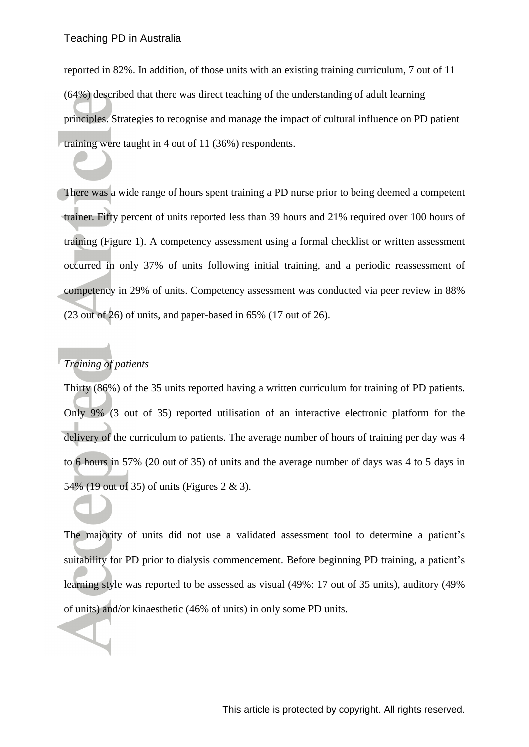reported in 82%. In addition, of those units with an existing training curriculum, 7 out of 11 (64%) described that there was direct teaching of the understanding of adult learning principles. Strategies to recognise and manage the impact of cultural influence on PD patient training were taught in 4 out of 11 (36%) respondents.

There was a wide range of hours spent training a PD nurse prior to being deemed a competent trainer. Fifty percent of units reported less than 39 hours and 21% required over 100 hours of training (Figure 1). A competency assessment using a formal checklist or written assessment occurred in only 37% of units following initial training, and a periodic reassessment of competency in 29% of units. Competency assessment was conducted via peer review in 88% (23 out of 26) of units, and paper-based in 65% (17 out of 26).

## *Training of patients*

Thirty (86%) of the 35 units reported having a written curriculum for training of PD patients. Only 9% (3 out of 35) reported utilisation of an interactive electronic platform for the delivery of the curriculum to patients. The average number of hours of training per day was 4 to 6 hours in 57% (20 out of 35) of units and the average number of days was 4 to 5 days in 54% (19 out of 35) of units (Figures 2 & 3).

The majority of units did not use a validated assessment tool to determine a patient's suitability for PD prior to dialysis commencement. Before beginning PD training, a patient's learning style was reported to be assessed as visual (49%: 17 out of 35 units), auditory (49% of units) and/or kinaesthetic (46% of units) in only some PD units.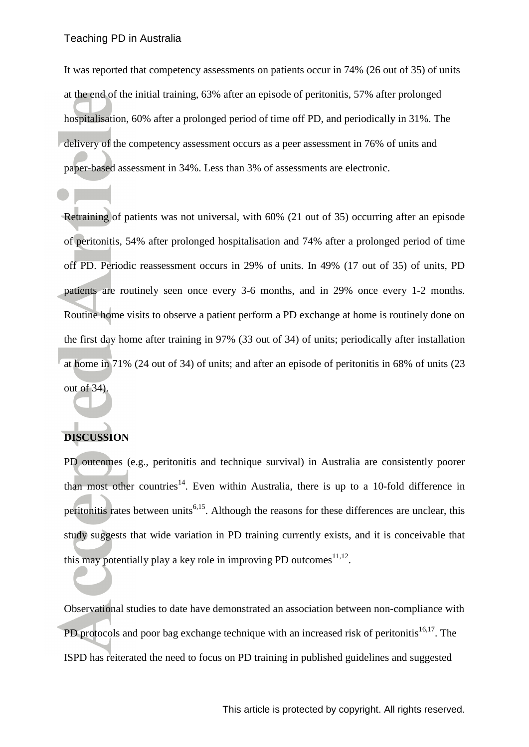It was reported that competency assessments on patients occur in 74% (26 out of 35) of units at the end of the initial training, 63% after an episode of peritonitis, 57% after prolonged hospitalisation, 60% after a prolonged period of time off PD, and periodically in 31%. The delivery of the competency assessment occurs as a peer assessment in 76% of units and paper-based assessment in 34%. Less than 3% of assessments are electronic.

Retraining of patients was not universal, with 60% (21 out of 35) occurring after an episode of peritonitis, 54% after prolonged hospitalisation and 74% after a prolonged period of time off PD. Periodic reassessment occurs in 29% of units. In 49% (17 out of 35) of units, PD patients are routinely seen once every 3-6 months, and in 29% once every 1-2 months. Routine home visits to observe a patient perform a PD exchange at home is routinely done on the first day home after training in 97% (33 out of 34) of units; periodically after installation at home in 71% (24 out of 34) of units; and after an episode of peritonitis in 68% of units (23 out of 34).

### **DISCUSSION**

PD outcomes (e.g., peritonitis and technique survival) in Australia are consistently poorer than most other countries<sup>[14](#page-13-3)</sup>. Even within Australia, there is up to a 10-fold difference in peritonitis rates between units<sup>[6](#page-12-3)[,15](#page-13-4)</sup>. Although the reasons for these differences are unclear, this study suggests that wide variation in PD training currently exists, and it is conceivable that this may potentially play a key role in improving PD outcomes $^{11,12}$  $^{11,12}$  $^{11,12}$  $^{11,12}$ .

Observational studies to date have demonstrated an association between non-compliance with PD protocols and poor bag exchange technique with an increased risk of peritonitis<sup>[16](#page-13-7)[,17](#page-13-8)</sup>. The ISPD has reiterated the need to focus on PD training in published guidelines and suggested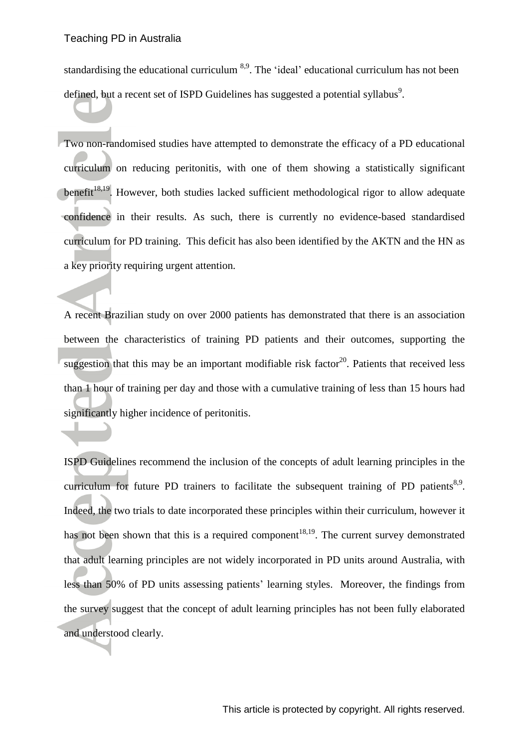standardising the educational curriculum <sup>[8,](#page-12-5)[9](#page-13-0)</sup>. The 'ideal' educational curriculum has not been defined, but a recent [s](#page-13-0)et of ISPD Guidelines has suggested a potential syllabus<sup>9</sup>.

Two non-randomised studies have attempted to demonstrate the efficacy of a PD educational curriculum on reducing peritonitis, with one of them showing a statistically significant benefit<sup>[18,](#page-14-0)[19](#page-14-1)</sup>. However, both studies lacked sufficient methodological rigor to allow adequate confidence in their results. As such, there is currently no evidence-based standardised curriculum for PD training. This deficit has also been identified by the AKTN and the HN as a key priority requiring urgent attention.

A recent Brazilian study on over 2000 patients has demonstrated that there is an association between the characteristics of training PD patients and their outcomes, supporting the suggestion that this may be an important modifiable risk factor<sup>[20](#page-14-2)</sup>. Patients that received less than 1 hour of training per day and those with a cumulative training of less than 15 hours had significantly higher incidence of peritonitis.

ISPD Guidelines recommend the inclusion of the concepts of adult learning principles in the curriculum for future PD trainers to facilitate the subsequent training of PD patients $8.9$  $8.9$ . Indeed, the two trials to date incorporated these principles within their curriculum, however it has not been shown that this is a required component<sup>[18,](#page-14-0)[19](#page-14-1)</sup>. The current survey demonstrated that adult learning principles are not widely incorporated in PD units around Australia, with less than 50% of PD units assessing patients' learning styles. Moreover, the findings from the survey suggest that the concept of adult learning principles has not been fully elaborated and understood clearly.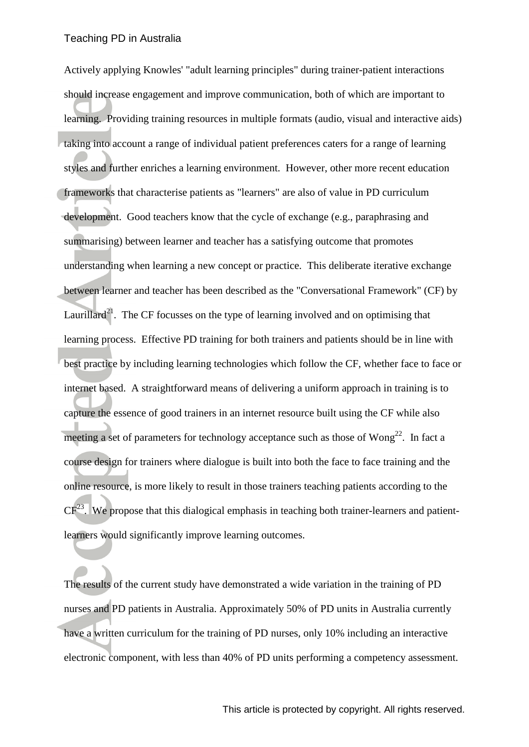Actively applying Knowles' "adult learning principles" during trainer-patient interactions should increase engagement and improve communication, both of which are important to learning. Providing training resources in multiple formats (audio, visual and interactive aids) taking into account a range of individual patient preferences caters for a range of learning styles and further enriches a learning environment. However, other more recent education frameworks that characterise patients as "learners" are also of value in PD curriculum development. Good teachers know that the cycle of exchange (e.g., paraphrasing and summarising) between learner and teacher has a satisfying outcome that promotes understanding when learning a new concept or practice. This deliberate iterative exchange between learner and teacher has been described as the "Conversational Framework" (CF) by Laurillard<sup>[21](#page-14-3)</sup>. The CF focusses on the type of learning involved and on optimising that learning process. Effective PD training for both trainers and patients should be in line with best practice by including learning technologies which follow the CF, whether face to face or internet based. A straightforward means of delivering a uniform approach in training is to capture the essence of good trainers in an internet resource built using the CF while also meeting a set of parameters for technology acceptance such as those of  $Wong^{22}$  $Wong^{22}$  $Wong^{22}$ . In fact a course design for trainers where dialogue is built into both the face to face training and the online resource, is more likely to result in those trainers teaching patients according to the  $CF<sup>23</sup>$  $CF<sup>23</sup>$  $CF<sup>23</sup>$ . We propose that this dialogical emphasis in teaching both trainer-learners and patientlearners would significantly improve learning outcomes.

The results of the current study have demonstrated a wide variation in the training of PD nurses and PD patients in Australia. Approximately 50% of PD units in Australia currently have a written curriculum for the training of PD nurses, only 10% including an interactive electronic component, with less than 40% of PD units performing a competency assessment.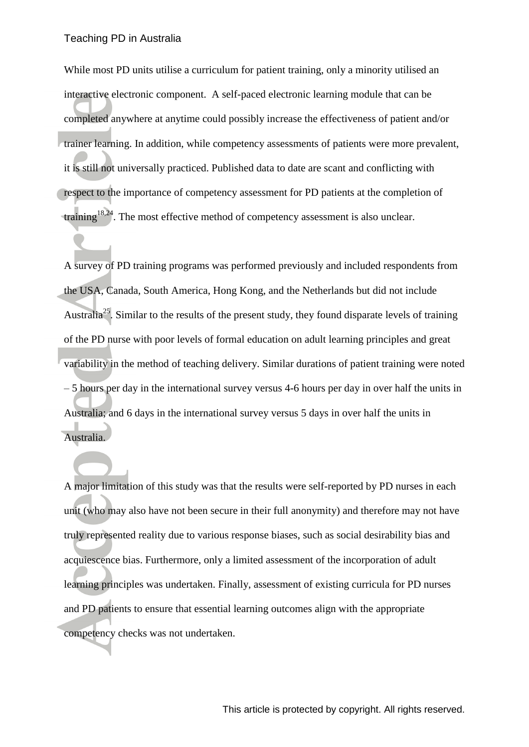While most PD units utilise a curriculum for patient training, only a minority utilised an interactive electronic component. A self-paced electronic learning module that can be completed anywhere at anytime could possibly increase the effectiveness of patient and/or trainer learning. In addition, while competency assessments of patients were more prevalent, it is still not universally practiced. Published data to date are scant and conflicting with respect to the importance of competency assessment for PD patients at the completion of training<sup>[18,](#page-14-0)[24](#page-14-6)</sup>. The most effective method of competency assessment is also unclear.

A survey of PD training programs was performed previously and included respondents from the USA, Canada, South America, Hong Kong, and the Netherlands but did not include Australia<sup>[25](#page-14-7)</sup>. Similar to the results of the present study, they found disparate levels of training of the PD nurse with poor levels of formal education on adult learning principles and great variability in the method of teaching delivery. Similar durations of patient training were noted – 5 hours per day in the international survey versus 4-6 hours per day in over half the units in Australia; and 6 days in the international survey versus 5 days in over half the units in Australia.

A major limitation of this study was that the results were self-reported by PD nurses in each unit (who may also have not been secure in their full anonymity) and therefore may not have truly represented reality due to various response biases, such as social desirability bias and acquiescence bias. Furthermore, only a limited assessment of the incorporation of adult learning principles was undertaken. Finally, assessment of existing curricula for PD nurses and PD patients to ensure that essential learning outcomes align with the appropriate competency checks was not undertaken.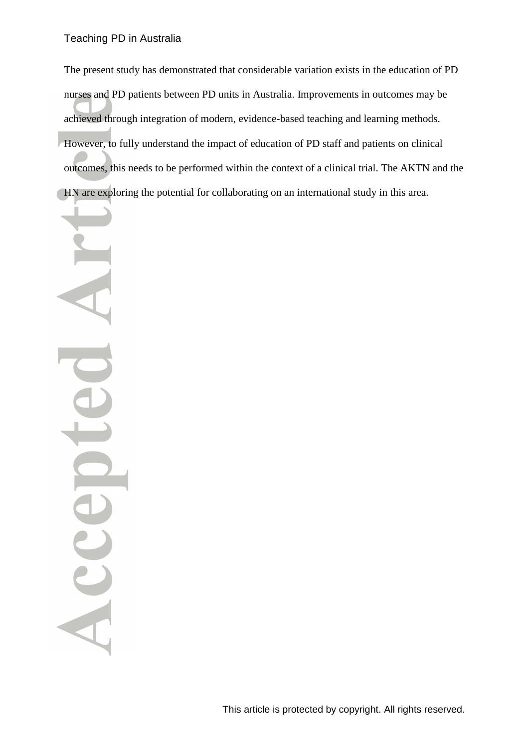Teaching PD in Australia

The present study has demonstrated that considerable variation exists in the education of PD nurses and PD patients between PD units in Australia. Improvements in outcomes may be achieved through integration of modern, evidence-based teaching and learning methods. However, to fully understand the impact of education of PD staff and patients on clinical outcomes, this needs to be performed within the context of a clinical trial. The AKTN and the HN are exploring the potential for collaborating on an international study in this area.

Acce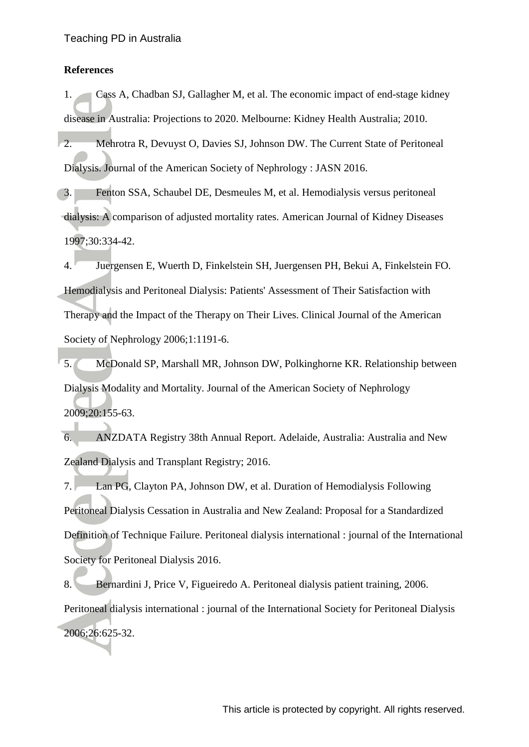#### **References**

<span id="page-12-0"></span>1. Cass A, Chadban SJ, Gallagher M, et al. The economic impact of end-stage kidney disease in Australia: Projections to 2020. Melbourne: Kidney Health Australia; 2010.

<span id="page-12-1"></span>2. Mehrotra R, Devuyst O, Davies SJ, Johnson DW. The Current State of Peritoneal Dialysis. Journal of the American Society of Nephrology : JASN 2016.

<span id="page-12-2"></span>3. Fenton SSA, Schaubel DE, Desmeules M, et al. Hemodialysis versus peritoneal dialysis: A comparison of adjusted mortality rates. American Journal of Kidney Diseases 1997;30:334-42.

4. Juergensen E, Wuerth D, Finkelstein SH, Juergensen PH, Bekui A, Finkelstein FO. Hemodialysis and Peritoneal Dialysis: Patients' Assessment of Their Satisfaction with Therapy and the Impact of the Therapy on Their Lives. Clinical Journal of the American Society of Nephrology 2006;1:1191-6.

5. McDonald SP, Marshall MR, Johnson DW, Polkinghorne KR. Relationship between Dialysis Modality and Mortality. Journal of the American Society of Nephrology 2009;20:155-63.

<span id="page-12-3"></span>6. ANZDATA Registry 38th Annual Report. Adelaide, Australia: Australia and New Zealand Dialysis and Transplant Registry; 2016.

<span id="page-12-4"></span>7. Lan PG, Clayton PA, Johnson DW, et al. Duration of Hemodialysis Following Peritoneal Dialysis Cessation in Australia and New Zealand: Proposal for a Standardized Definition of Technique Failure. Peritoneal dialysis international : journal of the International Society for Peritoneal Dialysis 2016.

<span id="page-12-5"></span>8. Bernardini J, Price V, Figueiredo A. Peritoneal dialysis patient training, 2006. Peritoneal dialysis international : journal of the International Society for Peritoneal Dialysis 2006;26:625-32.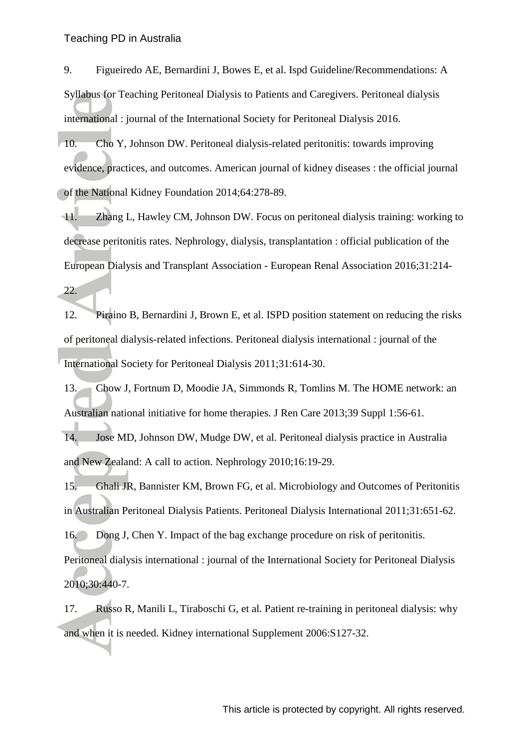<span id="page-13-0"></span>9. Figueiredo AE, Bernardini J, Bowes E, et al. Ispd Guideline/Recommendations: A Syllabus for Teaching Peritoneal Dialysis to Patients and Caregivers. Peritoneal dialysis international : journal of the International Society for Peritoneal Dialysis 2016.

<span id="page-13-1"></span>10. Cho Y, Johnson DW. Peritoneal dialysis-related peritonitis: towards improving evidence, practices, and outcomes. American journal of kidney diseases : the official journal of the National Kidney Foundation 2014;64:278-89.

<span id="page-13-5"></span>11. Zhang L, Hawley CM, Johnson DW. Focus on peritoneal dialysis training: working to decrease peritonitis rates. Nephrology, dialysis, transplantation : official publication of the European Dialysis and Transplant Association - European Renal Association 2016;31:214-

22.

<span id="page-13-6"></span>12. Piraino B, Bernardini J, Brown E, et al. ISPD position statement on reducing the risks of peritoneal dialysis-related infections. Peritoneal dialysis international : journal of the International Society for Peritoneal Dialysis 2011;31:614-30.

<span id="page-13-2"></span>13. Chow J, Fortnum D, Moodie JA, Simmonds R, Tomlins M. The HOME network: an Australian national initiative for home therapies. J Ren Care 2013;39 Suppl 1:56-61.

<span id="page-13-3"></span>14. Jose MD, Johnson DW, Mudge DW, et al. Peritoneal dialysis practice in Australia and New Zealand: A call to action. Nephrology 2010;16:19-29.

<span id="page-13-4"></span>15. Ghali JR, Bannister KM, Brown FG, et al. Microbiology and Outcomes of Peritonitis in Australian Peritoneal Dialysis Patients. Peritoneal Dialysis International 2011;31:651-62.

<span id="page-13-7"></span>16. Dong J, Chen Y. Impact of the bag exchange procedure on risk of peritonitis.

Peritoneal dialysis international : journal of the International Society for Peritoneal Dialysis 2010;30:440-7.

<span id="page-13-8"></span>17. Russo R, Manili L, Tiraboschi G, et al. Patient re-training in peritoneal dialysis: why and when it is needed. Kidney international Supplement 2006:S127-32.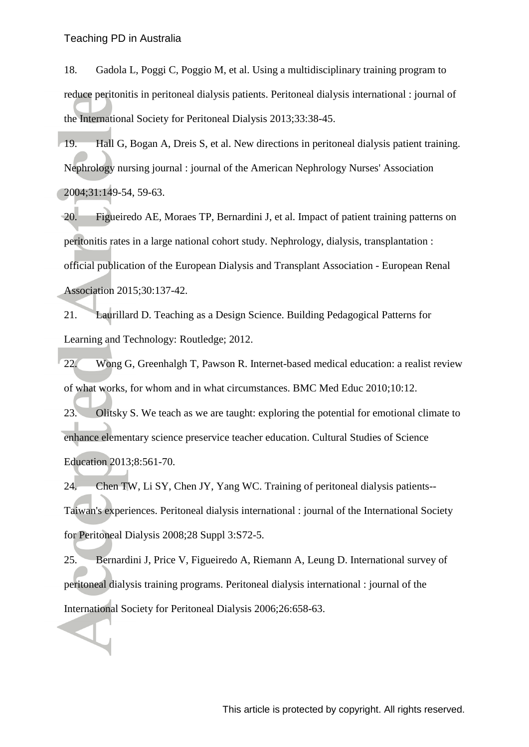<span id="page-14-0"></span>18. Gadola L, Poggi C, Poggio M, et al. Using a multidisciplinary training program to reduce peritonitis in peritoneal dialysis patients. Peritoneal dialysis international : journal of the International Society for Peritoneal Dialysis 2013;33:38-45.

<span id="page-14-1"></span>19. Hall G, Bogan A, Dreis S, et al. New directions in peritoneal dialysis patient training. Nephrology nursing journal : journal of the American Nephrology Nurses' Association 2004;31:149-54, 59-63.

<span id="page-14-2"></span>20. Figueiredo AE, Moraes TP, Bernardini J, et al. Impact of patient training patterns on peritonitis rates in a large national cohort study. Nephrology, dialysis, transplantation : official publication of the European Dialysis and Transplant Association - European Renal Association 2015;30:137-42.

<span id="page-14-3"></span>21. Laurillard D. Teaching as a Design Science. Building Pedagogical Patterns for Learning and Technology: Routledge; 2012.

<span id="page-14-4"></span>22. Wong G, Greenhalgh T, Pawson R. Internet-based medical education: a realist review of what works, for whom and in what circumstances. BMC Med Educ 2010;10:12.

<span id="page-14-5"></span>23. Olitsky S. We teach as we are taught: exploring the potential for emotional climate to enhance elementary science preservice teacher education. Cultural Studies of Science Education 2013;8:561-70.

<span id="page-14-6"></span>24. Chen TW, Li SY, Chen JY, Yang WC. Training of peritoneal dialysis patients-- Taiwan's experiences. Peritoneal dialysis international : journal of the International Society for Peritoneal Dialysis 2008;28 Suppl 3:S72-5.

<span id="page-14-7"></span>25. Bernardini J, Price V, Figueiredo A, Riemann A, Leung D. International survey of peritoneal dialysis training programs. Peritoneal dialysis international : journal of the International Society for Peritoneal Dialysis 2006;26:658-63.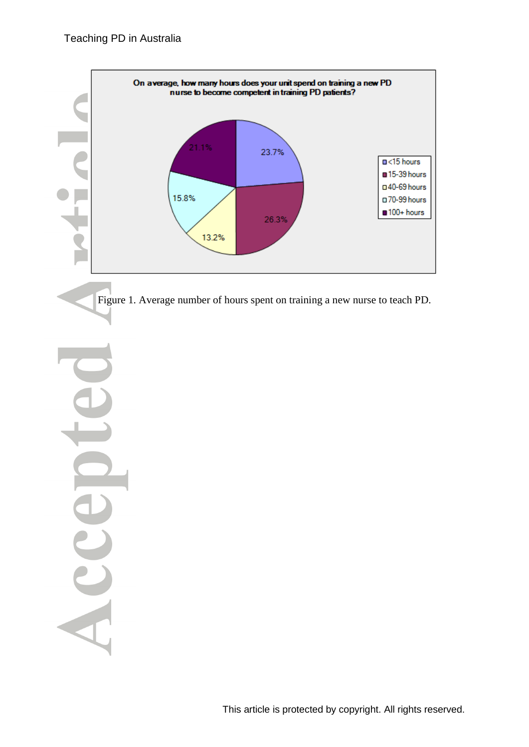

Figure 1. Average number of hours spent on training a new nurse to teach PD.

Acce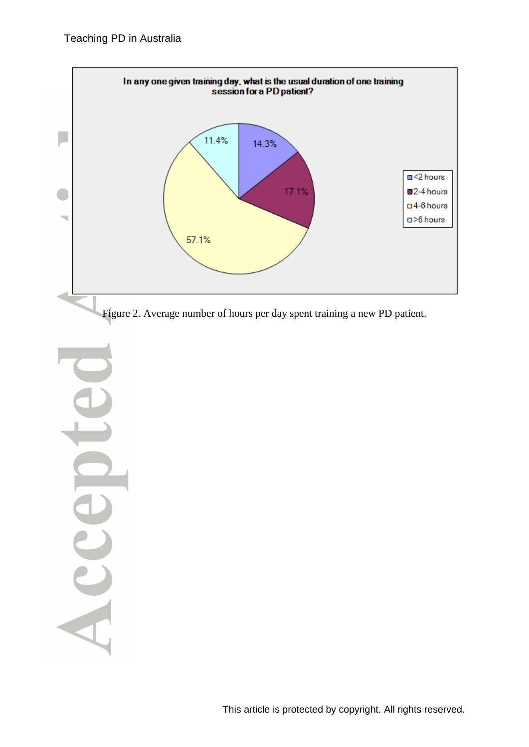

Figure 2. Average number of hours per day spent training a new PD patient.

Acce